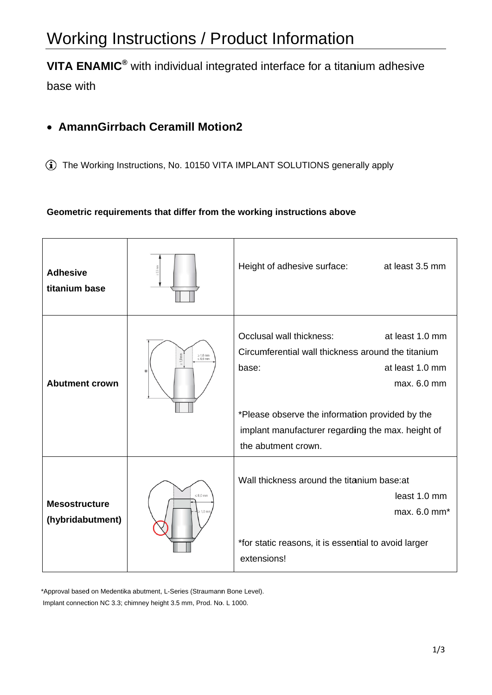# Working Instructions / Product Information

VITA ENAMIC<sup>®</sup> with individual integrated interface for a titanium adhesive

base with

## • AmannGirrbach Ceramill Motion2

1 The Working Instructions, No. 10150 VITA IMPLANT SOLUTIONS generally apply

#### Geometric requirements that differ from the working instructions above

| <b>Adhesive</b><br>titanium base         |                                          | Height of adhesive surface:<br>at least 3.5 mm                                                                                                                                                                                                                              |
|------------------------------------------|------------------------------------------|-----------------------------------------------------------------------------------------------------------------------------------------------------------------------------------------------------------------------------------------------------------------------------|
| <b>Abutment crown</b>                    | $\geq 1.0$ mm<br>$\leq 6.0$ mm<br>$\ast$ | Occlusal wall thickness:<br>at least 1.0 mm<br>Circumferential wall thickness around the titanium<br>at least 1.0 mm<br>base:<br>max. 6.0 mm<br>*Please observe the information provided by the<br>implant manufacturer regarding the max. height of<br>the abutment crown. |
| <b>Mesostructure</b><br>(hybridabutment) | $\leq 6.0$ mm                            | Wall thickness around the titanium base: at<br>least 1.0 mm<br>max. 6.0 mm <sup>*</sup><br>*for static reasons, it is essential to avoid larger<br>extensions!                                                                                                              |

\*Approval based on Medentika abutment, L-Series (Straumann Bone Level). Implant connection NC 3.3; chimney height 3.5 mm, Prod. No. L 1000.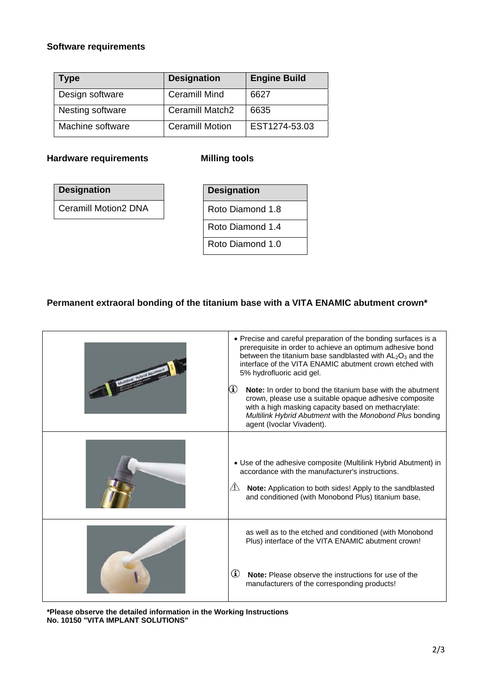#### **Software requirements**

| <b>Type</b>      | <b>Designation</b>     | <b>Engine Build</b> |
|------------------|------------------------|---------------------|
| Design software  | <b>Ceramill Mind</b>   | 6627                |
| Nesting software | Ceramill Match2        | 6635                |
| Machine software | <b>Ceramill Motion</b> | EST1274-53.03       |

#### **Hardware requirements Milling tools**

| <b>Designation</b>          |
|-----------------------------|
| <b>Ceramill Motion2 DNA</b> |

| <b>Designation</b> |  |  |
|--------------------|--|--|
| Roto Diamond 1.8   |  |  |
| Roto Diamond 1.4   |  |  |
| Roto Diamond 1.0   |  |  |

### **Permanent extraoral bonding of the titanium base with a VITA ENAMIC abutment crown\***

| • Precise and careful preparation of the bonding surfaces is a<br>prerequisite in order to achieve an optimum adhesive bond<br>between the titanium base sandblasted with $AL2O3$ and the<br>interface of the VITA ENAMIC abutment crown etched with<br>5% hydrofluoric acid gel.<br>⊕<br><b>Note:</b> In order to bond the titanium base with the abutment<br>crown, please use a suitable opaque adhesive composite<br>with a high masking capacity based on methacrylate:<br>Multilink Hybrid Abutment with the Monobond Plus bonding<br>agent (Ivoclar Vivadent). |
|-----------------------------------------------------------------------------------------------------------------------------------------------------------------------------------------------------------------------------------------------------------------------------------------------------------------------------------------------------------------------------------------------------------------------------------------------------------------------------------------------------------------------------------------------------------------------|
| • Use of the adhesive composite (Multilink Hybrid Abutment) in<br>accordance with the manufacturer's instructions.<br>$\sqrt{2}$ Note: Application to both sides! Apply to the sandblasted<br>and conditioned (with Monobond Plus) titanium base,                                                                                                                                                                                                                                                                                                                     |
| as well as to the etched and conditioned (with Monobond<br>Plus) interface of the VITA ENAMIC abutment crown!<br>$\bf(i)$<br><b>Note:</b> Please observe the instructions for use of the<br>manufacturers of the corresponding products!                                                                                                                                                                                                                                                                                                                              |

**\*Please observe the detailed information in the Working Instructions No. 10150 "VITA IMPLANT SOLUTIONS"**